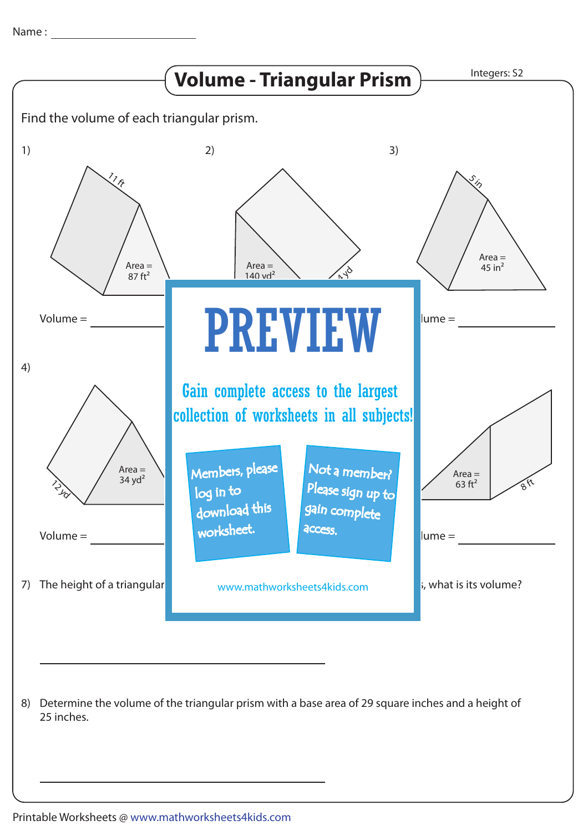